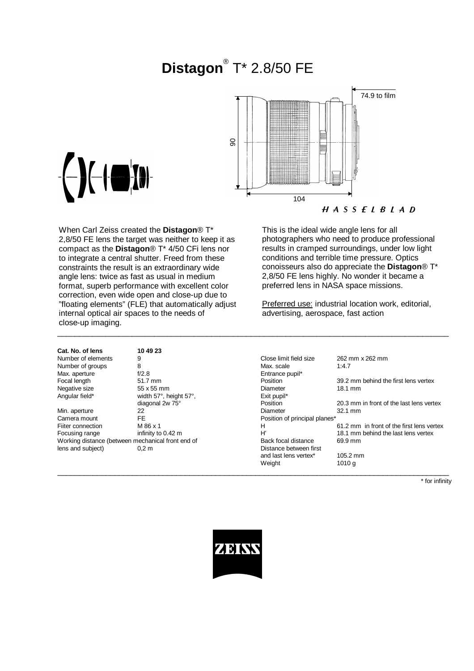# **Distagon**® T\* 2.8/50 FE



When Carl Zeiss created the **Distagon**® T\* 2,8/50 FE lens the target was neither to keep it as compact as the **Distagon**® T\* 4/50 CFi lens nor to integrate a central shutter. Freed from these constraints the result is an extraordinary wide angle lens: twice as fast as usual in medium format, superb performance with excellent color correction, even wide open and close-up due to "floating elements" (FLE) that automatically adjust internal optical air spaces to the needs of close-up imaging.

This is the ideal wide angle lens for all photographers who need to produce professional results in cramped surroundings, under low light conditions and terrible time pressure. Optics conoisseurs also do appreciate the **Distagon**® T\* 2,8/50 FE lens highly. No wonder it became a preferred lens in NASA space missions.

Preferred use: industrial location work, editorial, advertising, aerospace, fast action

| טמו. וזט. טו ופווס                                | נג שיטו                |                               |                                           |
|---------------------------------------------------|------------------------|-------------------------------|-------------------------------------------|
| Number of elements                                | 9                      | Close limit field size        | 262 mm x 262 mm                           |
| Number of groups                                  | 8                      | Max. scale                    | 1:4.7                                     |
| Max. aperture                                     | f/2.8                  | Entrance pupil*               |                                           |
| Focal length                                      | 51.7 mm                | Position                      | 39.2 mm behind the first lens vertex      |
| Negative size                                     | 55 x 55 mm             | Diameter                      | $18.1 \text{ mm}$                         |
| Angular field*                                    | width 57°, height 57°, | Exit pupil*                   |                                           |
|                                                   | diagonal 2w 75°        | Position                      | 20.3 mm in front of the last lens vertex  |
| Min. aperture                                     | 22                     | Diameter                      | $32.1 \text{ mm}$                         |
| Camera mount                                      | <b>FE</b>              | Position of principal planes* |                                           |
| Fiiter connection                                 | M 86 x 1               | н                             | 61.2 mm in front of the first lens vertex |
| Focusing range                                    | infinity to 0.42 m     | H'                            | 18.1 mm behind the last lens vertex       |
| Working distance (between mechanical front end of |                        | Back focal distance           | 69.9 mm                                   |
| lens and subject)                                 | 0.2 <sub>m</sub>       | Distance between first        |                                           |
|                                                   |                        | and last lens vertex*         | $105.2$ mm                                |
|                                                   |                        | Weight                        | 1010 a                                    |

\* for infinity



\_\_\_\_\_\_\_\_\_\_\_\_\_\_\_\_\_\_\_\_\_\_\_\_\_\_\_\_\_\_\_\_\_\_\_\_\_\_\_\_\_\_\_\_\_\_\_\_\_\_\_\_\_\_\_\_\_\_\_\_\_\_\_\_\_\_\_\_\_\_\_\_\_\_\_\_\_\_\_\_\_\_\_\_\_\_\_\_\_

 $\_$  , and the set of the set of the set of the set of the set of the set of the set of the set of the set of the set of the set of the set of the set of the set of the set of the set of the set of the set of the set of th



**Cat. No. of lens 10 49 23** Number of elements 9 Number of groups 8<br>
Max. aperture 6.12.8 Max. aperture f/2.8<br>Focal length 51.7 mm